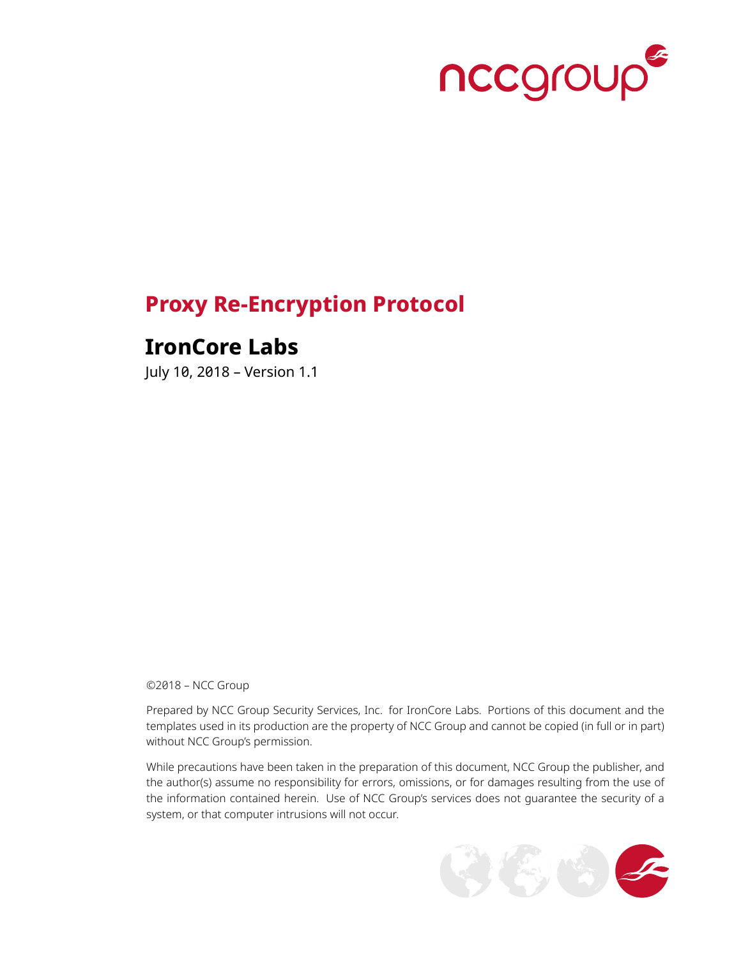

## **Proxy Re-Encryption Protocol**

## **IronCore Labs**

July 10, 2018 – Version 1.1

©2018 – NCC Group

Prepared by NCC Group Security Services, Inc. for IronCore Labs. Portions of this document and the templates used in its production are the property of NCC Group and cannot be copied (in full or in part) without NCC Group's permission.

While precautions have been taken in the preparation of this document, NCC Group the publisher, and the author(s) assume no responsibility for errors, omissions, or for damages resulting from the use of the information contained herein. Use of NCC Group's services does not guarantee the security of a system, or that computer intrusions will not occur.

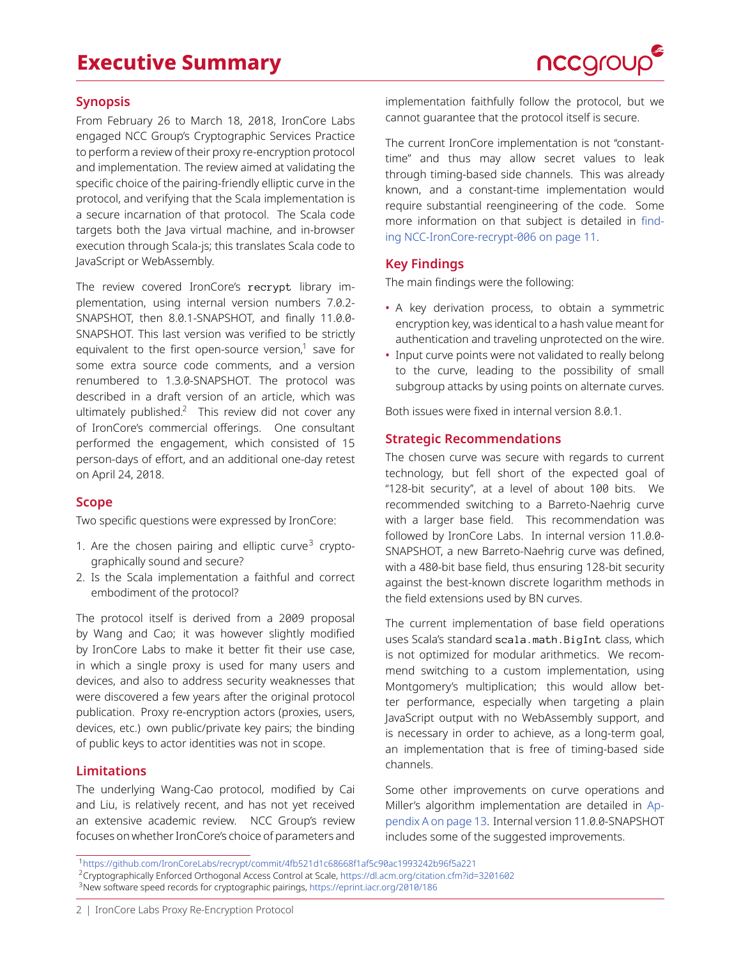## **Executive Summary**



### **Synopsis**

From February 26 to March 18, 2018, IronCore Labs engaged NCC Group's Cryptographic Services Practice to perform a review of their proxy re-encryption protocol and implementation. The review aimed at validating the specific choice of the pairing-friendly elliptic curve in the protocol, and verifying that the Scala implementation is a secure incarnation of that protocol. The Scala code targets both the Java virtual machine, and in-browser execution through Scala-js; this translates Scala code to JavaScript or WebAssembly.

The review covered IronCore's recrypt library implementation, using internal version numbers 7.0.2- SNAPSHOT, then 8.0.1-SNAPSHOT, and finally 11.0.0- SNAPSHOT. This last version was verified to be strictly equivalent to the first open-source version, $1$  save for some extra source code comments, and a version renumbered to 1.3.0-SNAPSHOT. The protocol was described in a draft version of an article, which was ultimately published. $2$  This review did not cover any of IronCore's commercial offerings. One consultant performed the engagement, which consisted of 15 person-days of effort, and an additional one-day retest on April 24, 2018.

### **Scope**

Two specific questions were expressed by IronCore:

- 1. Are the chosen pairing and elliptic curve $3$  cryptographically sound and secure?
- 2. Is the Scala implementation a faithful and correct embodiment of the protocol?

The protocol itself is derived from a 2009 proposal by Wang and Cao; it was however slightly modified by IronCore Labs to make it better fit their use case, in which a single proxy is used for many users and devices, and also to address security weaknesses that were discovered a few years after the original protocol publication. Proxy re-encryption actors (proxies, users, devices, etc.) own public/private key pairs; the binding of public keys to actor identities was not in scope.

### **Limitations**

The underlying Wang-Cao protocol, modified by Cai and Liu, is relatively recent, and has not yet received an extensive academic review. NCC Group's review focuses on whether IronCore's choice of parameters and

implementation faithfully follow the protocol, but we cannot guarantee that the protocol itself is secure.

The current IronCore implementation is not "constanttime'' and thus may allow secret values to leak through timing-based side channels. This was already known, and a constant-time implementation would require substantial reengineering of the code. Some more information on that subject is detailed in [find](#page-10-0)[ing NCC-IronCore-recrypt-006 on page 11.](#page-10-0)

### **Key Findings**

The main findings were the following:

- A key derivation process, to obtain a symmetric encryption key, was identical to a hash value meant for authentication and traveling unprotected on the wire.
- Input curve points were not validated to really belong to the curve, leading to the possibility of small subgroup attacks by using points on alternate curves.

Both issues were fixed in internal version 8.0.1.

### **Strategic Recommendations**

The chosen curve was secure with regards to current technology, but fell short of the expected goal of "128-bit security", at a level of about 100 bits. We recommended switching to a Barreto-Naehrig curve with a larger base field. This recommendation was followed by IronCore Labs. In internal version 11.0.0- SNAPSHOT, a new Barreto-Naehrig curve was defined, with a 480-bit base field, thus ensuring 128-bit security against the best-known discrete logarithm methods in the field extensions used by BN curves.

The current implementation of base field operations uses Scala's standard scala.math.BigInt class, which is not optimized for modular arithmetics. We recommend switching to a custom implementation, using Montgomery's multiplication; this would allow better performance, especially when targeting a plain JavaScript output with no WebAssembly support, and is necessary in order to achieve, as a long-term goal, an implementation that is free of timing-based side channels.

Some other improvements on curve operations and Miller's algorithm implementation are detailed in [Ap](#page-12-0)[pendix A on page 13.](#page-12-0) Internal version 11.0.0-SNAPSHOT includes some of the suggested improvements.

<span id="page-1-0"></span><sup>1</sup><https://github.com/IronCoreLabs/recrypt/commit/4fb521d1c68668f1af5c90ac1993242b96f5a221>

<span id="page-1-1"></span><sup>2</sup>Cryptographically Enforced Orthogonal Access Control at Scale, <https://dl.acm.org/citation.cfm?id=3201602>

<span id="page-1-2"></span><sup>&</sup>lt;sup>3</sup>New software speed records for cryptographic pairings, <https://eprint.iacr.org/2010/186>

<sup>2 |</sup> IronCore Labs Proxy Re-Encryption Protocol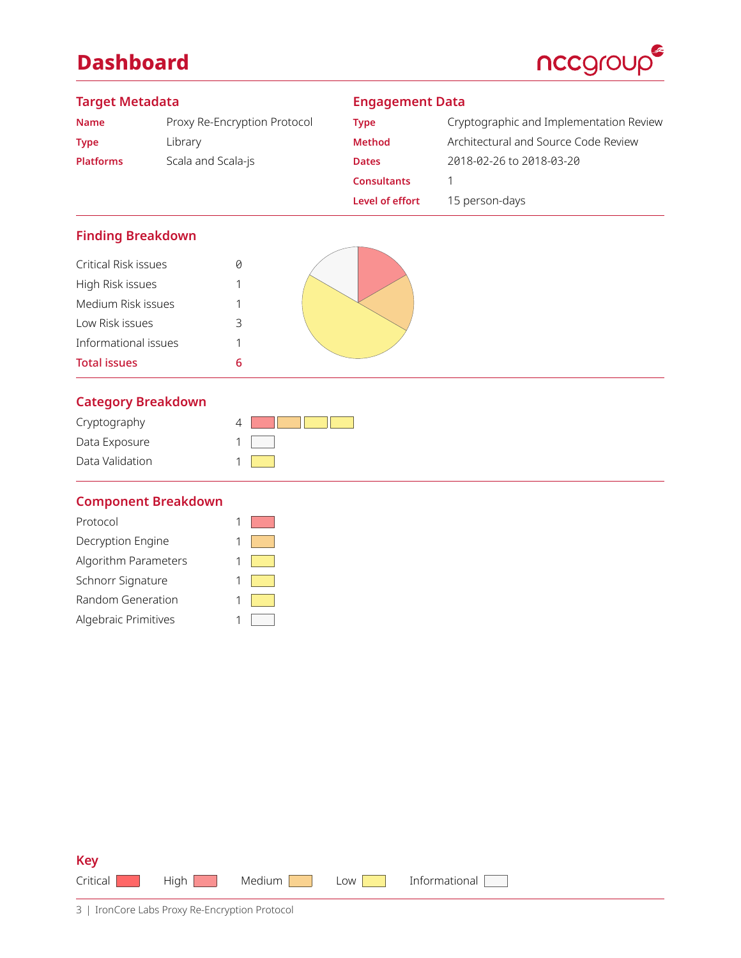## **Dashboard**



### **Target Metadata**

### **Engagement Data**

| <b>Name</b>      | Proxy Re-Encryption Protocol |
|------------------|------------------------------|
| <b>Type</b>      | Library                      |
| <b>Platforms</b> | Scala and Scala-js           |

| Type               | Cryptographic and Implementation Review |
|--------------------|-----------------------------------------|
| <b>Method</b>      | Architectural and Source Code Review    |
| <b>Dates</b>       | 2018-02-26 to 2018-03-20                |
| <b>Consultants</b> |                                         |
| Level of effort    | 15 person-days                          |

### **Finding Breakdown**

| Critical Risk issues |   |
|----------------------|---|
| High Risk issues     | 1 |
| Medium Risk issues   | 1 |
| Low Risk issues      | 3 |
| Informational issues | 1 |
| <b>Total issues</b>  | ĥ |
|                      |   |



### **[Category Breakdown](#page-12-0)**

| Cryptography    |  |
|-----------------|--|
| Data Exposure   |  |
| Data Validation |  |

### **Component Breakdown**

| Protocol             |  |
|----------------------|--|
| Decryption Engine    |  |
| Algorithm Parameters |  |
| Schnorr Signature    |  |
| Random Generation    |  |
| Algebraic Primitives |  |
|                      |  |

| Critical High Medium Low Informational |  |  |
|----------------------------------------|--|--|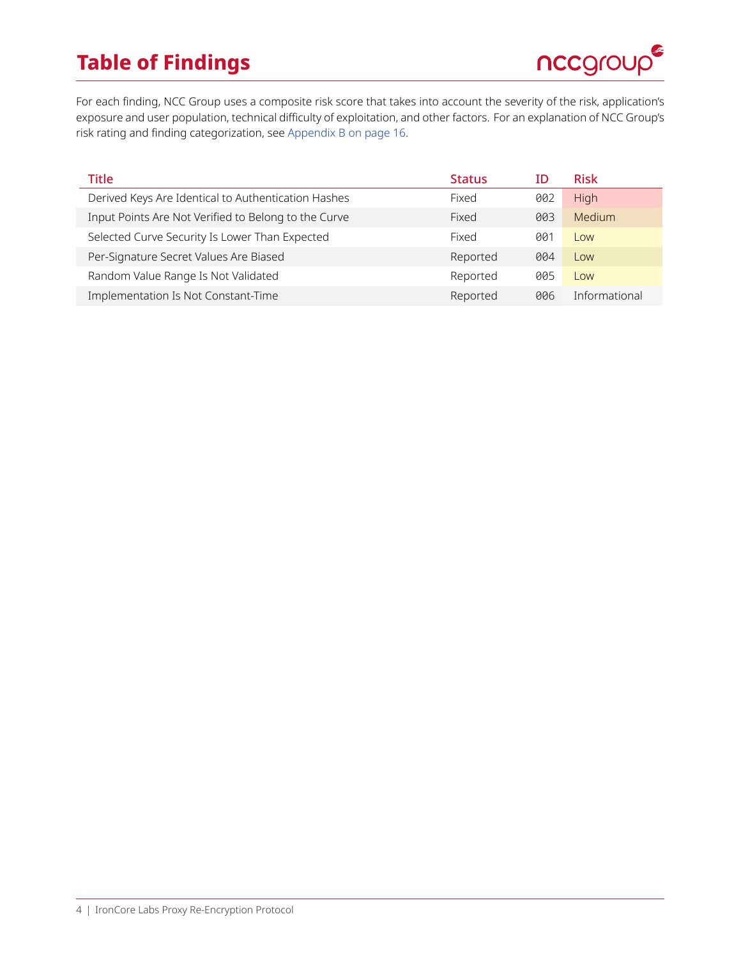## **Table of Findings**



For each finding, NCC Group uses a composite risk score that takes into account the severity of the risk, application's exposure and user population, technical difficulty of exploitation, and other factors. For an explanation of NCC Group's risk rating and finding categorization, see [Appendix B on page 16.](#page-15-0)

| Title                                                | <b>Status</b> | ΙD  | <b>Risk</b>   |
|------------------------------------------------------|---------------|-----|---------------|
| Derived Keys Are Identical to Authentication Hashes  | Fixed         | 002 | High          |
| Input Points Are Not Verified to Belong to the Curve | Fixed         | 003 | Medium        |
| Selected Curve Security Is Lower Than Expected       | Fixed         | 001 | Low           |
| Per-Signature Secret Values Are Biased               | Reported      | 004 | Low           |
| Random Value Range Is Not Validated                  | Reported      | 005 | Low           |
| Implementation Is Not Constant-Time                  | Reported      | 006 | Informational |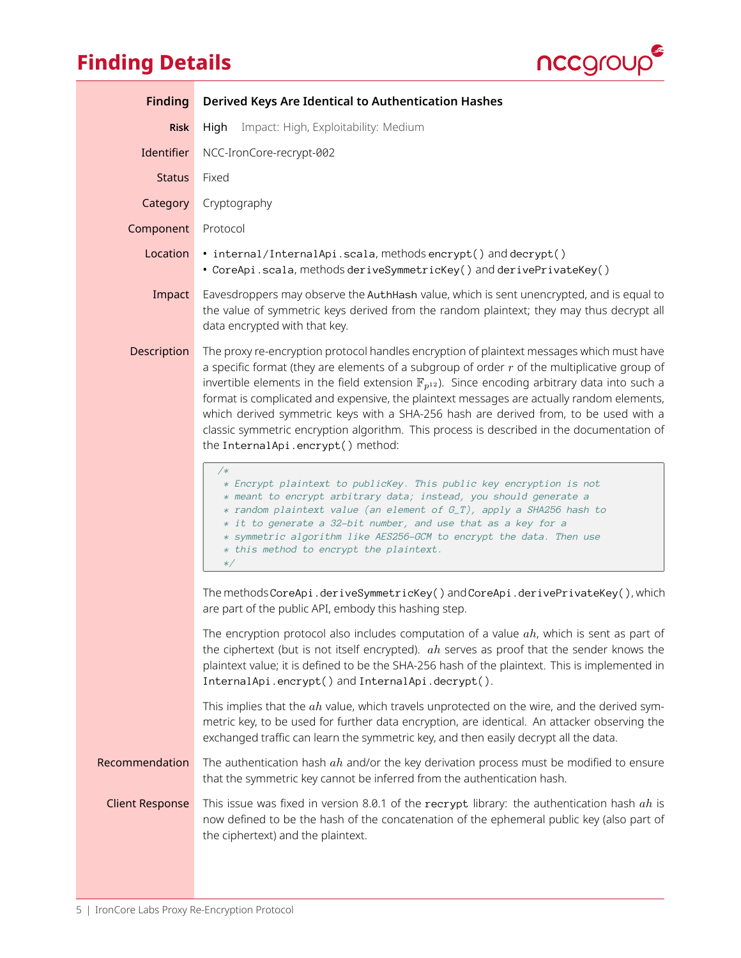# **Finding Details**



<span id="page-4-0"></span>

| <b>Finding</b>         | Derived Keys Are Identical to Authentication Hashes                                                                                                                                                                                                                                                                                                                                                                                                                                                                                                                                                                                 |
|------------------------|-------------------------------------------------------------------------------------------------------------------------------------------------------------------------------------------------------------------------------------------------------------------------------------------------------------------------------------------------------------------------------------------------------------------------------------------------------------------------------------------------------------------------------------------------------------------------------------------------------------------------------------|
| <b>Risk</b>            | Impact: High, Exploitability: Medium<br>High                                                                                                                                                                                                                                                                                                                                                                                                                                                                                                                                                                                        |
| Identifier             | NCC-IronCore-recrypt-002                                                                                                                                                                                                                                                                                                                                                                                                                                                                                                                                                                                                            |
| <b>Status</b>          | Fixed                                                                                                                                                                                                                                                                                                                                                                                                                                                                                                                                                                                                                               |
| Category               | Cryptography                                                                                                                                                                                                                                                                                                                                                                                                                                                                                                                                                                                                                        |
| Component              | Protocol                                                                                                                                                                                                                                                                                                                                                                                                                                                                                                                                                                                                                            |
| Location               | • internal/InternalApi.scala, methods encrypt() and decrypt()<br>• CoreApi.scala, methods deriveSymmetricKey() and derivePrivateKey()                                                                                                                                                                                                                                                                                                                                                                                                                                                                                               |
| Impact                 | Eavesdroppers may observe the AuthHash value, which is sent unencrypted, and is equal to<br>the value of symmetric keys derived from the random plaintext; they may thus decrypt all<br>data encrypted with that key.                                                                                                                                                                                                                                                                                                                                                                                                               |
| Description            | The proxy re-encryption protocol handles encryption of plaintext messages which must have<br>a specific format (they are elements of a subgroup of order $r$ of the multiplicative group of<br>invertible elements in the field extension $\mathbb{F}_{p^{12}}$ ). Since encoding arbitrary data into such a<br>format is complicated and expensive, the plaintext messages are actually random elements,<br>which derived symmetric keys with a SHA-256 hash are derived from, to be used with a<br>classic symmetric encryption algorithm. This process is described in the documentation of<br>the InternalApi.encrypt() method: |
|                        | /*<br>* Encrypt plaintext to publicKey. This public key encryption is not<br>* meant to encrypt arbitrary data; instead, you should generate a<br>* random plaintext value (an element of G_T), apply a SHA256 hash to<br>* it to generate a 32-bit number, and use that as a key for a<br>* symmetric algorithm like AES256-GCM to encrypt the data. Then use<br>* this method to encrypt the plaintext.<br>$\ast/$                                                                                                                                                                                                                |
|                        | The methods CoreApi.deriveSymmetricKey() and CoreApi.derivePrivateKey(), which<br>are part of the public API, embody this hashing step.                                                                                                                                                                                                                                                                                                                                                                                                                                                                                             |
|                        | The encryption protocol also includes computation of a value $ah$ , which is sent as part of<br>the ciphertext (but is not itself encrypted). $ah$ serves as proof that the sender knows the<br>plaintext value; it is defined to be the SHA-256 hash of the plaintext. This is implemented in<br>InternalApi.encrypt() and InternalApi.decrypt().                                                                                                                                                                                                                                                                                  |
|                        | This implies that the $ah$ value, which travels unprotected on the wire, and the derived sym-<br>metric key, to be used for further data encryption, are identical. An attacker observing the<br>exchanged traffic can learn the symmetric key, and then easily decrypt all the data.                                                                                                                                                                                                                                                                                                                                               |
| Recommendation         | The authentication hash $ah$ and/or the key derivation process must be modified to ensure<br>that the symmetric key cannot be inferred from the authentication hash.                                                                                                                                                                                                                                                                                                                                                                                                                                                                |
| <b>Client Response</b> | This issue was fixed in version 8.0.1 of the recrypt library: the authentication hash $ah$ is<br>now defined to be the hash of the concatenation of the ephemeral public key (also part of<br>the ciphertext) and the plaintext.                                                                                                                                                                                                                                                                                                                                                                                                    |
|                        |                                                                                                                                                                                                                                                                                                                                                                                                                                                                                                                                                                                                                                     |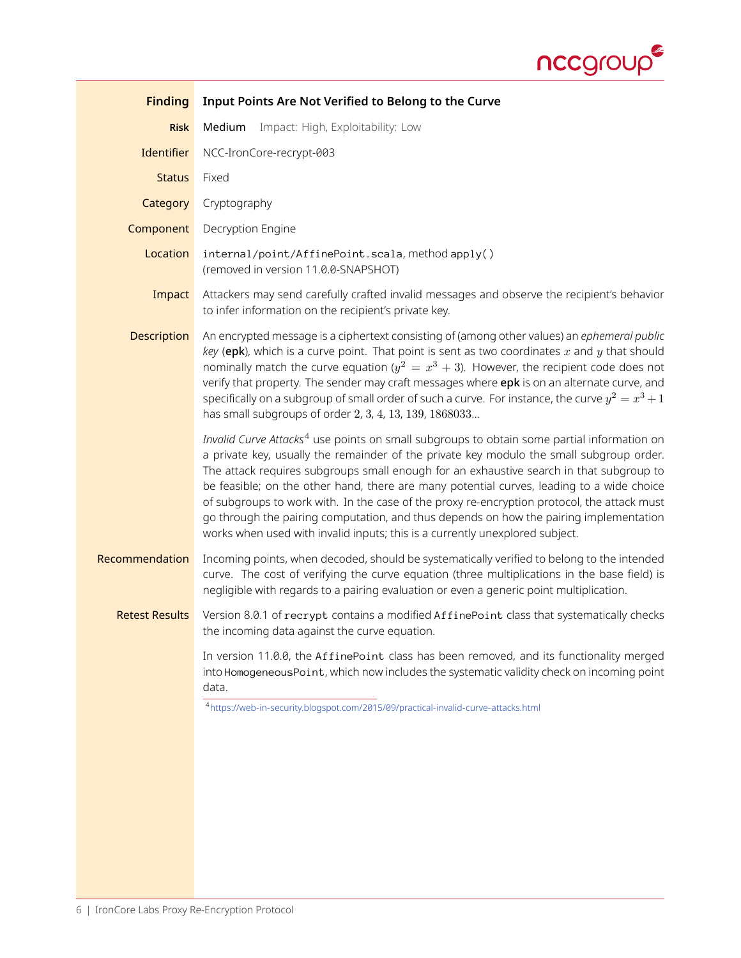

<span id="page-5-1"></span><span id="page-5-0"></span>

| <b>Finding</b>        | Input Points Are Not Verified to Belong to the Curve                                                                                                                                                                                                                                                                                                                                                                                                                                                                                                                                                                                                                |
|-----------------------|---------------------------------------------------------------------------------------------------------------------------------------------------------------------------------------------------------------------------------------------------------------------------------------------------------------------------------------------------------------------------------------------------------------------------------------------------------------------------------------------------------------------------------------------------------------------------------------------------------------------------------------------------------------------|
| <b>Risk</b>           | Impact: High, Exploitability: Low<br>Medium                                                                                                                                                                                                                                                                                                                                                                                                                                                                                                                                                                                                                         |
| Identifier            | NCC-IronCore-recrypt-003                                                                                                                                                                                                                                                                                                                                                                                                                                                                                                                                                                                                                                            |
| <b>Status</b>         | Fixed                                                                                                                                                                                                                                                                                                                                                                                                                                                                                                                                                                                                                                                               |
| Category              | Cryptography                                                                                                                                                                                                                                                                                                                                                                                                                                                                                                                                                                                                                                                        |
| Component             | Decryption Engine                                                                                                                                                                                                                                                                                                                                                                                                                                                                                                                                                                                                                                                   |
| Location              | internal/point/AffinePoint.scala, method apply()<br>(removed in version 11.0.0-SNAPSHOT)                                                                                                                                                                                                                                                                                                                                                                                                                                                                                                                                                                            |
| Impact                | Attackers may send carefully crafted invalid messages and observe the recipient's behavior<br>to infer information on the recipient's private key.                                                                                                                                                                                                                                                                                                                                                                                                                                                                                                                  |
| <b>Description</b>    | An encrypted message is a ciphertext consisting of (among other values) an ephemeral public<br>key (epk), which is a curve point. That point is sent as two coordinates $x$ and $y$ that should<br>nominally match the curve equation ( $y^2 = x^3 + 3$ ). However, the recipient code does not<br>verify that property. The sender may craft messages where epk is on an alternate curve, and<br>specifically on a subgroup of small order of such a curve. For instance, the curve $y^2 = x^3 + 1$<br>has small subgroups of order 2, 3, 4, 13, 139, 1868033                                                                                                      |
|                       | Invalid Curve Attacks <sup>4</sup> use points on small subgroups to obtain some partial information on<br>a private key, usually the remainder of the private key modulo the small subgroup order.<br>The attack requires subgroups small enough for an exhaustive search in that subgroup to<br>be feasible; on the other hand, there are many potential curves, leading to a wide choice<br>of subgroups to work with. In the case of the proxy re-encryption protocol, the attack must<br>go through the pairing computation, and thus depends on how the pairing implementation<br>works when used with invalid inputs; this is a currently unexplored subject. |
| Recommendation        | Incoming points, when decoded, should be systematically verified to belong to the intended<br>curve. The cost of verifying the curve equation (three multiplications in the base field) is<br>negligible with regards to a pairing evaluation or even a generic point multiplication.                                                                                                                                                                                                                                                                                                                                                                               |
| <b>Retest Results</b> | Version 8.0.1 of recrypt contains a modified AffinePoint class that systematically checks<br>the incoming data against the curve equation.                                                                                                                                                                                                                                                                                                                                                                                                                                                                                                                          |
|                       | In version 11.0.0, the AffinePoint class has been removed, and its functionality merged<br>into Homogeneous Point, which now includes the systematic validity check on incoming point<br>data.<br>4https://web-in-security.blogspot.com/2015/09/practical-invalid-curve-attacks.html                                                                                                                                                                                                                                                                                                                                                                                |
|                       |                                                                                                                                                                                                                                                                                                                                                                                                                                                                                                                                                                                                                                                                     |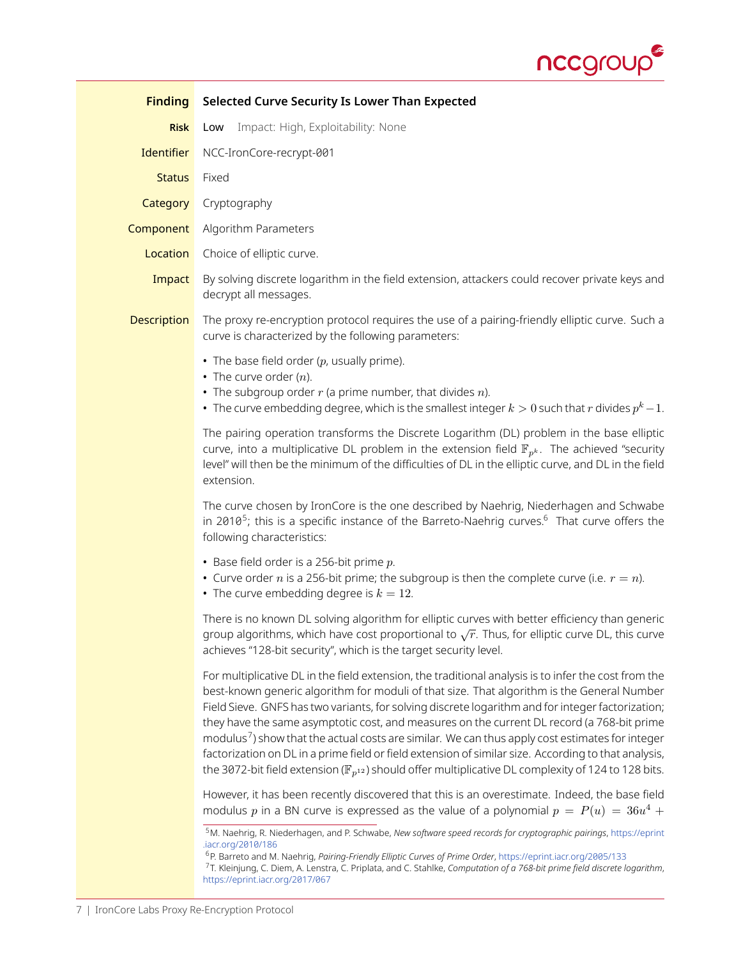

<span id="page-6-0"></span>

| <b>Finding</b>     | Selected Curve Security Is Lower Than Expected                                                                                                                                                                                                                                                                                                                                                                                                                                                                                                                                                                                                                                                                                                       |
|--------------------|------------------------------------------------------------------------------------------------------------------------------------------------------------------------------------------------------------------------------------------------------------------------------------------------------------------------------------------------------------------------------------------------------------------------------------------------------------------------------------------------------------------------------------------------------------------------------------------------------------------------------------------------------------------------------------------------------------------------------------------------------|
| <b>Risk</b>        | Impact: High, Exploitability: None<br>Low                                                                                                                                                                                                                                                                                                                                                                                                                                                                                                                                                                                                                                                                                                            |
| <b>Identifier</b>  | NCC-IronCore-recrypt-001                                                                                                                                                                                                                                                                                                                                                                                                                                                                                                                                                                                                                                                                                                                             |
| <b>Status</b>      | Fixed                                                                                                                                                                                                                                                                                                                                                                                                                                                                                                                                                                                                                                                                                                                                                |
| Category           | Cryptography                                                                                                                                                                                                                                                                                                                                                                                                                                                                                                                                                                                                                                                                                                                                         |
| Component          | Algorithm Parameters                                                                                                                                                                                                                                                                                                                                                                                                                                                                                                                                                                                                                                                                                                                                 |
| Location           | Choice of elliptic curve.                                                                                                                                                                                                                                                                                                                                                                                                                                                                                                                                                                                                                                                                                                                            |
| Impact             | By solving discrete logarithm in the field extension, attackers could recover private keys and<br>decrypt all messages.                                                                                                                                                                                                                                                                                                                                                                                                                                                                                                                                                                                                                              |
| <b>Description</b> | The proxy re-encryption protocol requires the use of a pairing-friendly elliptic curve. Such a<br>curve is characterized by the following parameters:                                                                                                                                                                                                                                                                                                                                                                                                                                                                                                                                                                                                |
|                    | • The base field order $(p,$ usually prime).<br>• The curve order $(n)$ .<br>• The subgroup order $r$ (a prime number, that divides $n$ ).<br>• The curve embedding degree, which is the smallest integer $k > 0$ such that r divides $p^k - 1$ .                                                                                                                                                                                                                                                                                                                                                                                                                                                                                                    |
|                    | The pairing operation transforms the Discrete Logarithm (DL) problem in the base elliptic<br>curve, into a multiplicative DL problem in the extension field $\mathbb{F}_{p^k}$ . The achieved "security<br>level" will then be the minimum of the difficulties of DL in the elliptic curve, and DL in the field<br>extension.                                                                                                                                                                                                                                                                                                                                                                                                                        |
|                    | The curve chosen by IronCore is the one described by Naehrig, Niederhagen and Schwabe<br>in 2010 <sup>5</sup> ; this is a specific instance of the Barreto-Naehrig curves. <sup>6</sup> That curve offers the<br>following characteristics:                                                                                                                                                                                                                                                                                                                                                                                                                                                                                                          |
|                    | • Base field order is a 256-bit prime $p$ .<br>• Curve order <i>n</i> is a 256-bit prime; the subgroup is then the complete curve (i.e. $r = n$ ).<br>• The curve embedding degree is $k = 12$ .                                                                                                                                                                                                                                                                                                                                                                                                                                                                                                                                                     |
|                    | There is no known DL solving algorithm for elliptic curves with better efficiency than generic<br>group algorithms, which have cost proportional to $\sqrt{r}$ . Thus, for elliptic curve DL, this curve<br>achieves "128-bit security", which is the target security level.                                                                                                                                                                                                                                                                                                                                                                                                                                                                         |
|                    | For multiplicative DL in the field extension, the traditional analysis is to infer the cost from the<br>best-known generic algorithm for moduli of that size. That algorithm is the General Number<br>Field Sieve. GNFS has two variants, for solving discrete logarithm and for integer factorization;<br>they have the same asymptotic cost, and measures on the current DL record (a 768-bit prime<br>modulus <sup>7</sup> ) show that the actual costs are similar. We can thus apply cost estimates for integer<br>factorization on DL in a prime field or field extension of similar size. According to that analysis,<br>the 3072-bit field extension ( $\mathbb{F}_{n^{12}}$ ) should offer multiplicative DL complexity of 124 to 128 bits. |
|                    | However, it has been recently discovered that this is an overestimate. Indeed, the base field<br>modulus p in a BN curve is expressed as the value of a polynomial $p = P(u) = 36u^4 +$<br><sup>5</sup> M. Naehrig, R. Niederhagen, and P. Schwabe, New software speed records for cryptographic pairings, https://eprint                                                                                                                                                                                                                                                                                                                                                                                                                            |
|                    | .iacr.org/2010/186<br><sup>6</sup> P. Barreto and M. Naehrig, Pairing-Friendly Elliptic Curves of Prime Order, https://eprint.iacr.org/2005/133<br>7T. Kleinjung, C. Diem, A. Lenstra, C. Priplata, and C. Stahlke, Computation of a 768-bit prime field discrete logarithm,                                                                                                                                                                                                                                                                                                                                                                                                                                                                         |

<span id="page-6-3"></span><span id="page-6-2"></span><span id="page-6-1"></span><https://eprint.iacr.org/2017/067>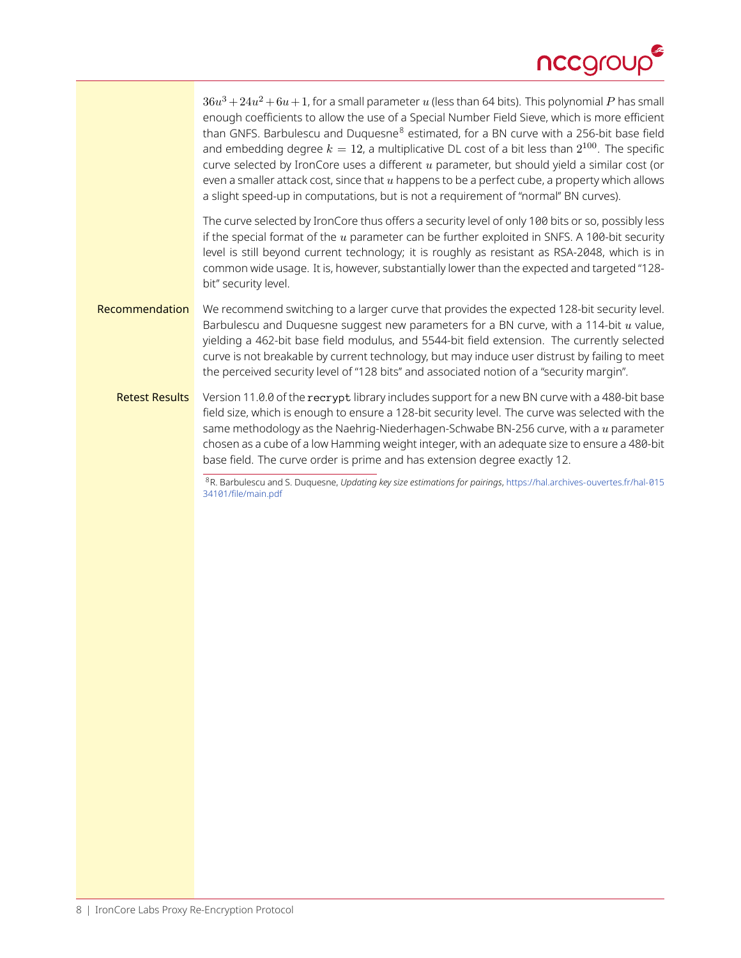

 $36u^3+24u^2+6u+1$ , for a small parameter  $u$  (less than 64 bits). This polynomial  $P$  has small enough coefficients to allow the use of a Special Number Field Sieve, which is more efficient than GNFS. Barbulescu and Duquesne $8$  estimated, for a BN curve with a 256-bit base field and embedding degree  $k=12$ , a multiplicative DL cost of a bit less than  $2^{100}.$  The specific curve selected by IronCore uses a different  $u$  parameter, but should yield a similar cost (or even a smaller attack cost, since that  $u$  happens to be a perfect cube, a property which allows a slight speed-up in computations, but is not a requirement of "normal" BN curves).

The curve selected by IronCore thus offers a security level of only 100 bits or so, possibly less if the special format of the  $u$  parameter can be further exploited in SNFS. A 100-bit security level is still beyond current technology; it is roughly as resistant as RSA-2048, which is in common wide usage. It is, however, substantially lower than the expected and targeted "128bit'' security level.

- Recommendation We recommend switching to a larger curve that provides the expected 128-bit security level. Barbulescu and Duquesne suggest new parameters for a BN curve, with a 114-bit  $u$  value, yielding a 462-bit base field modulus, and 5544-bit field extension. The currently selected curve is not breakable by current technology, but may induce user distrust by failing to meet the perceived security level of "128 bits" and associated notion of a "security margin".
	- Retest Results Version 11.0.0 of the recrypt library includes support for a new BN curve with a 480-bit base field size, which is enough to ensure a 128-bit security level. The curve was selected with the same methodology as the Naehrig-Niederhagen-Schwabe BN-256 curve, with a u parameter chosen as a cube of a low Hamming weight integer, with an adequate size to ensure a 480-bit base field. The curve order is prime and has extension degree exactly 12.

<span id="page-7-0"></span><sup>8</sup>R. Barbulescu and S. Duquesne, *Updating key size estimations for pairings*, [https://hal.archives-ouvertes.fr/hal-015](https://hal.archives-ouvertes.fr/hal-01534101/file/main.pdf) [34101/file/main.pdf](https://hal.archives-ouvertes.fr/hal-01534101/file/main.pdf)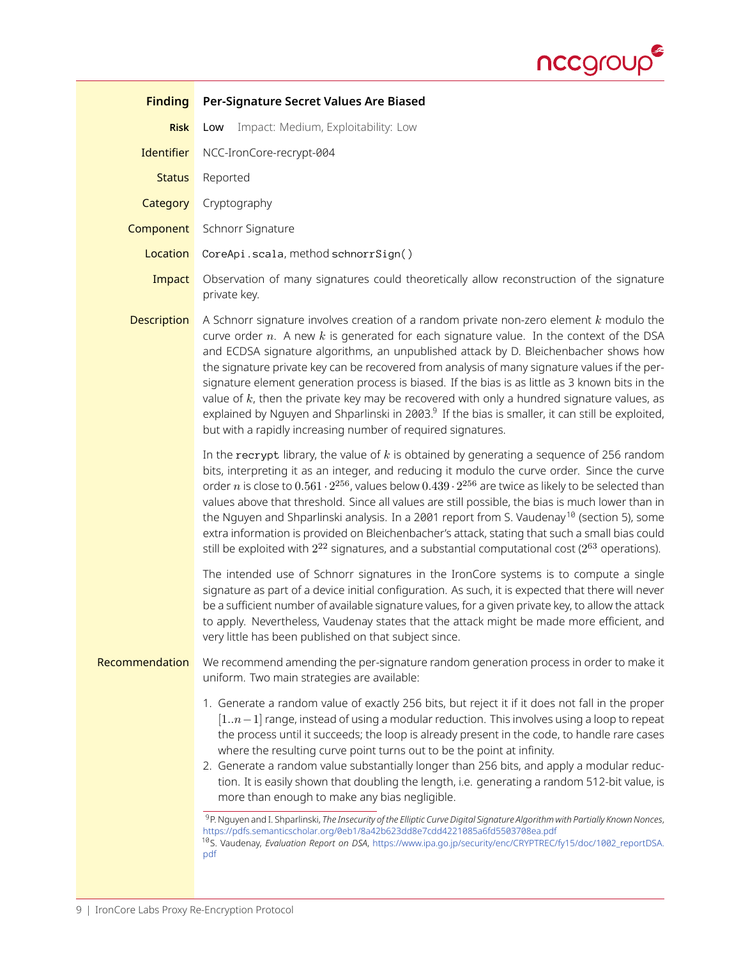

<span id="page-8-2"></span><span id="page-8-1"></span><span id="page-8-0"></span>

| <b>Finding</b>     | Per-Signature Secret Values Are Biased                                                                                                                                                                                                                                                                                                                                                                                                                                                                                                                                                                                                                                                                                                                                                                                                                                                                                                                                            |
|--------------------|-----------------------------------------------------------------------------------------------------------------------------------------------------------------------------------------------------------------------------------------------------------------------------------------------------------------------------------------------------------------------------------------------------------------------------------------------------------------------------------------------------------------------------------------------------------------------------------------------------------------------------------------------------------------------------------------------------------------------------------------------------------------------------------------------------------------------------------------------------------------------------------------------------------------------------------------------------------------------------------|
| <b>Risk</b>        | Impact: Medium, Exploitability: Low<br>Low                                                                                                                                                                                                                                                                                                                                                                                                                                                                                                                                                                                                                                                                                                                                                                                                                                                                                                                                        |
| Identifier         | NCC-IronCore-recrypt-004                                                                                                                                                                                                                                                                                                                                                                                                                                                                                                                                                                                                                                                                                                                                                                                                                                                                                                                                                          |
| <b>Status</b>      | Reported                                                                                                                                                                                                                                                                                                                                                                                                                                                                                                                                                                                                                                                                                                                                                                                                                                                                                                                                                                          |
| Category           | Cryptography                                                                                                                                                                                                                                                                                                                                                                                                                                                                                                                                                                                                                                                                                                                                                                                                                                                                                                                                                                      |
| Component          | Schnorr Signature                                                                                                                                                                                                                                                                                                                                                                                                                                                                                                                                                                                                                                                                                                                                                                                                                                                                                                                                                                 |
| Location           | CoreApi.scala, method schnorrSign()                                                                                                                                                                                                                                                                                                                                                                                                                                                                                                                                                                                                                                                                                                                                                                                                                                                                                                                                               |
| Impact             | Observation of many signatures could theoretically allow reconstruction of the signature<br>private key.                                                                                                                                                                                                                                                                                                                                                                                                                                                                                                                                                                                                                                                                                                                                                                                                                                                                          |
| <b>Description</b> | A Schnorr signature involves creation of a random private non-zero element $k$ modulo the<br>curve order $n$ . A new $k$ is generated for each signature value. In the context of the DSA<br>and ECDSA signature algorithms, an unpublished attack by D. Bleichenbacher shows how<br>the signature private key can be recovered from analysis of many signature values if the per-<br>signature element generation process is biased. If the bias is as little as 3 known bits in the<br>value of $k$ , then the private key may be recovered with only a hundred signature values, as<br>explained by Nguyen and Shparlinski in 2003. <sup>9</sup> If the bias is smaller, it can still be exploited,<br>but with a rapidly increasing number of required signatures.                                                                                                                                                                                                            |
|                    | In the recrypt library, the value of $k$ is obtained by generating a sequence of 256 random<br>bits, interpreting it as an integer, and reducing it modulo the curve order. Since the curve<br>order n is close to $0.561 \cdot 2^{256}$ , values below $0.439 \cdot 2^{256}$ are twice as likely to be selected than<br>values above that threshold. Since all values are still possible, the bias is much lower than in<br>the Nguyen and Shparlinski analysis. In a 2001 report from S. Vaudenay <sup>10</sup> (section 5), some<br>extra information is provided on Bleichenbacher's attack, stating that such a small bias could<br>still be exploited with $2^{22}$ signatures, and a substantial computational cost ( $2^{63}$ operations).                                                                                                                                                                                                                                |
|                    | The intended use of Schnorr signatures in the IronCore systems is to compute a single<br>signature as part of a device initial configuration. As such, it is expected that there will never<br>be a sufficient number of available signature values, for a given private key, to allow the attack<br>to apply. Nevertheless, Vaudenay states that the attack might be made more efficient, and<br>very little has been published on that subject since.                                                                                                                                                                                                                                                                                                                                                                                                                                                                                                                           |
| Recommendation     | We recommend amending the per-signature random generation process in order to make it<br>uniform. Two main strategies are available:                                                                                                                                                                                                                                                                                                                                                                                                                                                                                                                                                                                                                                                                                                                                                                                                                                              |
|                    | 1. Generate a random value of exactly 256 bits, but reject it if it does not fall in the proper<br>$[1n-1]$ range, instead of using a modular reduction. This involves using a loop to repeat<br>the process until it succeeds; the loop is already present in the code, to handle rare cases<br>where the resulting curve point turns out to be the point at infinity.<br>2. Generate a random value substantially longer than 256 bits, and apply a modular reduc-<br>tion. It is easily shown that doubling the length, i.e. generating a random 512-bit value, is<br>more than enough to make any bias negligible.<br><sup>9</sup> P. Nguyen and I. Shparlinski, The Insecurity of the Elliptic Curve Digital Signature Algorithm with Partially Known Nonces,<br>https://pdfs.semanticscholar.org/0eb1/8a42b623dd8e7cdd4221085a6fd5503708ea.pdf<br><sup>10</sup> S. Vaudenay, Evaluation Report on DSA, https://www.ipa.go.jp/security/enc/CRYPTREC/fy15/doc/1002_reportDSA. |
|                    | pdf                                                                                                                                                                                                                                                                                                                                                                                                                                                                                                                                                                                                                                                                                                                                                                                                                                                                                                                                                                               |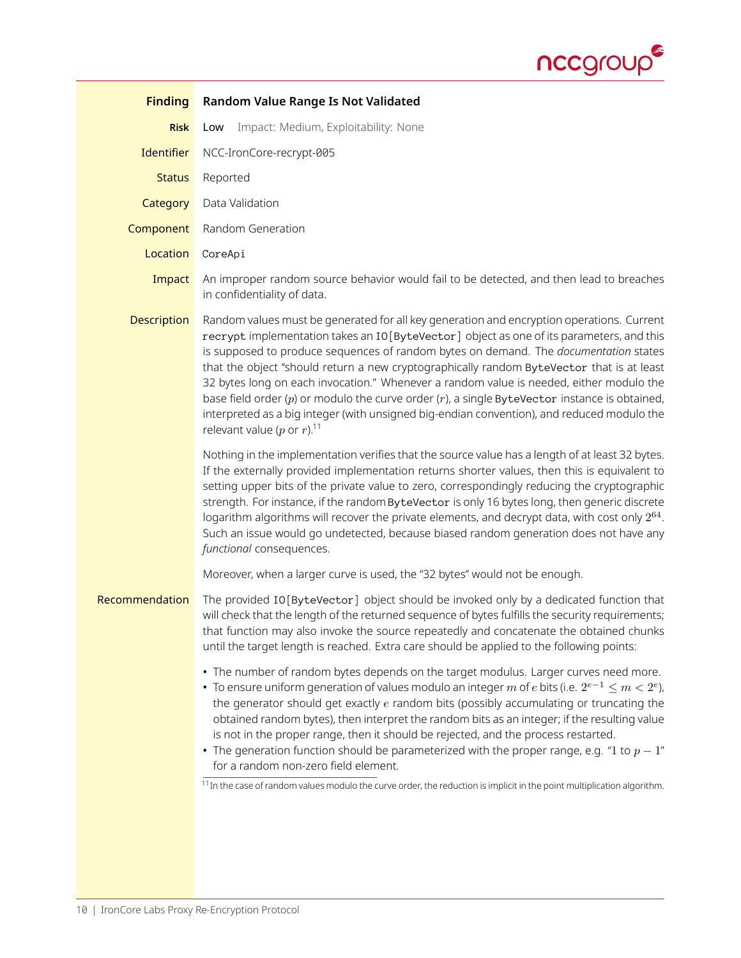

<span id="page-9-1"></span><span id="page-9-0"></span>

| <b>Finding</b>     | <b>Random Value Range Is Not Validated</b>                                                                                                                                                                                                                                                                                                                                                                                                                                                                                                                                                                                                                                                                                                                       |
|--------------------|------------------------------------------------------------------------------------------------------------------------------------------------------------------------------------------------------------------------------------------------------------------------------------------------------------------------------------------------------------------------------------------------------------------------------------------------------------------------------------------------------------------------------------------------------------------------------------------------------------------------------------------------------------------------------------------------------------------------------------------------------------------|
| <b>Risk</b>        | Impact: Medium, Exploitability: None<br>Low                                                                                                                                                                                                                                                                                                                                                                                                                                                                                                                                                                                                                                                                                                                      |
| Identifier         | NCC-IronCore-recrypt-005                                                                                                                                                                                                                                                                                                                                                                                                                                                                                                                                                                                                                                                                                                                                         |
| <b>Status</b>      | Reported                                                                                                                                                                                                                                                                                                                                                                                                                                                                                                                                                                                                                                                                                                                                                         |
| Category           | Data Validation                                                                                                                                                                                                                                                                                                                                                                                                                                                                                                                                                                                                                                                                                                                                                  |
| Component          | Random Generation                                                                                                                                                                                                                                                                                                                                                                                                                                                                                                                                                                                                                                                                                                                                                |
| Location           | CoreApi                                                                                                                                                                                                                                                                                                                                                                                                                                                                                                                                                                                                                                                                                                                                                          |
| Impact             | An improper random source behavior would fail to be detected, and then lead to breaches<br>in confidentiality of data.                                                                                                                                                                                                                                                                                                                                                                                                                                                                                                                                                                                                                                           |
| <b>Description</b> | Random values must be generated for all key generation and encryption operations. Current<br>recrypt implementation takes an IO[ByteVector] object as one of its parameters, and this<br>is supposed to produce sequences of random bytes on demand. The documentation states<br>that the object "should return a new cryptographically random ByteVector that is at least<br>32 bytes long on each invocation." Whenever a random value is needed, either modulo the<br>base field order $(p)$ or modulo the curve order $(r)$ , a single ByteVector instance is obtained,<br>interpreted as a big integer (with unsigned big-endian convention), and reduced modulo the<br>relevant value (p or $r$ ). <sup>11</sup>                                           |
|                    | Nothing in the implementation verifies that the source value has a length of at least 32 bytes.<br>If the externally provided implementation returns shorter values, then this is equivalent to<br>setting upper bits of the private value to zero, correspondingly reducing the cryptographic<br>strength. For instance, if the random ByteVector is only 16 bytes long, then generic discrete<br>logarithm algorithms will recover the private elements, and decrypt data, with cost only 2 <sup>64</sup> .<br>Such an issue would go undetected, because biased random generation does not have any<br>functional consequences.                                                                                                                               |
|                    | Moreover, when a larger curve is used, the "32 bytes" would not be enough.                                                                                                                                                                                                                                                                                                                                                                                                                                                                                                                                                                                                                                                                                       |
| Recommendation     | The provided IO[ByteVector] object should be invoked only by a dedicated function that<br>will check that the length of the returned sequence of bytes fulfills the security requirements;<br>that function may also invoke the source repeatedly and concatenate the obtained chunks<br>until the target length is reached. Extra care should be applied to the following points:                                                                                                                                                                                                                                                                                                                                                                               |
|                    | • The number of random bytes depends on the target modulus. Larger curves need more.<br>• To ensure uniform generation of values modulo an integer m of e bits (i.e. $2^{e-1} \le m < 2^e$ ),<br>the generator should get exactly $e$ random bits (possibly accumulating or truncating the<br>obtained random bytes), then interpret the random bits as an integer; if the resulting value<br>is not in the proper range, then it should be rejected, and the process restarted.<br>• The generation function should be parameterized with the proper range, e.g. "1 to $p-1$ "<br>for a random non-zero field element.<br>$\frac{11}{11}$ In the case of random values modulo the curve order, the reduction is implicit in the point multiplication algorithm. |
|                    |                                                                                                                                                                                                                                                                                                                                                                                                                                                                                                                                                                                                                                                                                                                                                                  |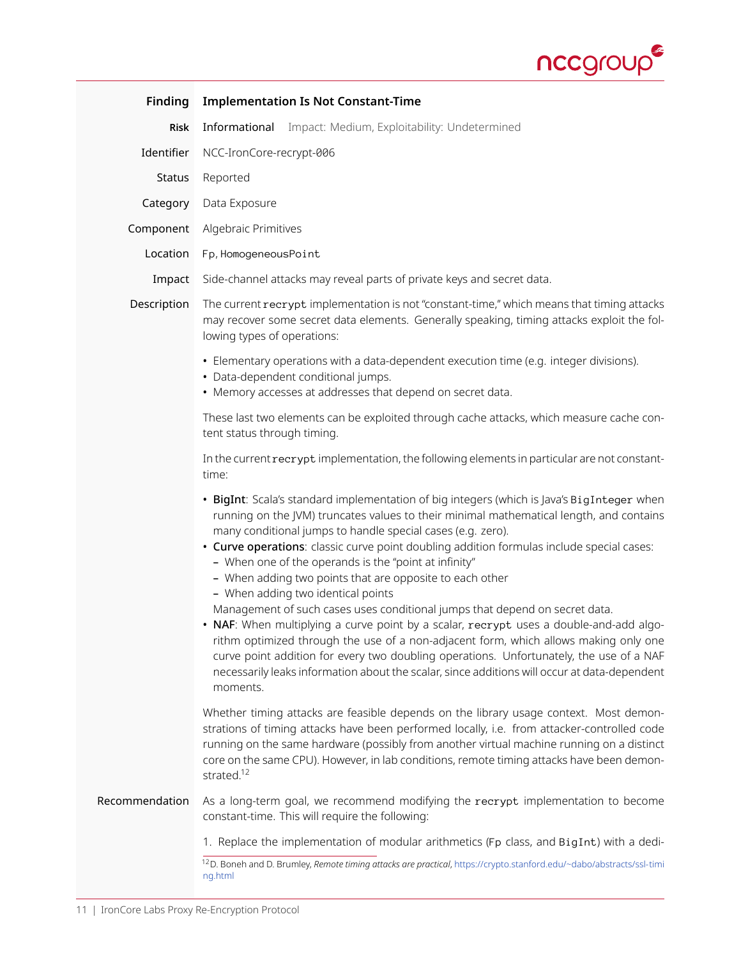

<span id="page-10-1"></span><span id="page-10-0"></span>

| <b>Finding</b> | <b>Implementation Is Not Constant-Time</b>                                                                                                                                                                                                                                                                                                                                                                                                                                                                                                                                                                                                                                                                                                                                                                                                                                                                                                                                           |  |
|----------------|--------------------------------------------------------------------------------------------------------------------------------------------------------------------------------------------------------------------------------------------------------------------------------------------------------------------------------------------------------------------------------------------------------------------------------------------------------------------------------------------------------------------------------------------------------------------------------------------------------------------------------------------------------------------------------------------------------------------------------------------------------------------------------------------------------------------------------------------------------------------------------------------------------------------------------------------------------------------------------------|--|
| <b>Risk</b>    | Impact: Medium, Exploitability: Undetermined<br>Informational                                                                                                                                                                                                                                                                                                                                                                                                                                                                                                                                                                                                                                                                                                                                                                                                                                                                                                                        |  |
| Identifier     | NCC-IronCore-recrypt-006                                                                                                                                                                                                                                                                                                                                                                                                                                                                                                                                                                                                                                                                                                                                                                                                                                                                                                                                                             |  |
| Status         | Reported                                                                                                                                                                                                                                                                                                                                                                                                                                                                                                                                                                                                                                                                                                                                                                                                                                                                                                                                                                             |  |
| Category       | Data Exposure                                                                                                                                                                                                                                                                                                                                                                                                                                                                                                                                                                                                                                                                                                                                                                                                                                                                                                                                                                        |  |
| Component      | Algebraic Primitives                                                                                                                                                                                                                                                                                                                                                                                                                                                                                                                                                                                                                                                                                                                                                                                                                                                                                                                                                                 |  |
| Location       | Fp, HomogeneousPoint                                                                                                                                                                                                                                                                                                                                                                                                                                                                                                                                                                                                                                                                                                                                                                                                                                                                                                                                                                 |  |
| Impact         | Side-channel attacks may reveal parts of private keys and secret data.                                                                                                                                                                                                                                                                                                                                                                                                                                                                                                                                                                                                                                                                                                                                                                                                                                                                                                               |  |
| Description    | The current recrypt implementation is not "constant-time," which means that timing attacks<br>may recover some secret data elements. Generally speaking, timing attacks exploit the fol-<br>lowing types of operations:                                                                                                                                                                                                                                                                                                                                                                                                                                                                                                                                                                                                                                                                                                                                                              |  |
|                | • Elementary operations with a data-dependent execution time (e.g. integer divisions).<br>· Data-dependent conditional jumps.<br>• Memory accesses at addresses that depend on secret data.                                                                                                                                                                                                                                                                                                                                                                                                                                                                                                                                                                                                                                                                                                                                                                                          |  |
|                | These last two elements can be exploited through cache attacks, which measure cache con-<br>tent status through timing.                                                                                                                                                                                                                                                                                                                                                                                                                                                                                                                                                                                                                                                                                                                                                                                                                                                              |  |
|                | In the current recrypt implementation, the following elements in particular are not constant-<br>time:                                                                                                                                                                                                                                                                                                                                                                                                                                                                                                                                                                                                                                                                                                                                                                                                                                                                               |  |
|                | · BigInt: Scala's standard implementation of big integers (which is Java's BigInteger when<br>running on the JVM) truncates values to their minimal mathematical length, and contains<br>many conditional jumps to handle special cases (e.g. zero).<br>• Curve operations: classic curve point doubling addition formulas include special cases:<br>- When one of the operands is the "point at infinity"<br>- When adding two points that are opposite to each other<br>- When adding two identical points<br>Management of such cases uses conditional jumps that depend on secret data.<br>• NAF: When multiplying a curve point by a scalar, recrypt uses a double-and-add algo-<br>rithm optimized through the use of a non-adjacent form, which allows making only one<br>curve point addition for every two doubling operations. Unfortunately, the use of a NAF<br>necessarily leaks information about the scalar, since additions will occur at data-dependent<br>moments. |  |
|                | Whether timing attacks are feasible depends on the library usage context. Most demon-<br>strations of timing attacks have been performed locally, i.e. from attacker-controlled code<br>running on the same hardware (possibly from another virtual machine running on a distinct<br>core on the same CPU). However, in lab conditions, remote timing attacks have been demon-<br>strated. <sup>12</sup>                                                                                                                                                                                                                                                                                                                                                                                                                                                                                                                                                                             |  |
| Recommendation | As a long-term goal, we recommend modifying the recrypt implementation to become<br>constant-time. This will require the following:                                                                                                                                                                                                                                                                                                                                                                                                                                                                                                                                                                                                                                                                                                                                                                                                                                                  |  |
|                | 1. Replace the implementation of modular arithmetics (Fp class, and BigInt) with a dedi-                                                                                                                                                                                                                                                                                                                                                                                                                                                                                                                                                                                                                                                                                                                                                                                                                                                                                             |  |
|                | <sup>12</sup> D. Boneh and D. Brumley, Remote timing attacks are practical, https://crypto.stanford.edu/~dabo/abstracts/ssl-timi<br>ng.html                                                                                                                                                                                                                                                                                                                                                                                                                                                                                                                                                                                                                                                                                                                                                                                                                                          |  |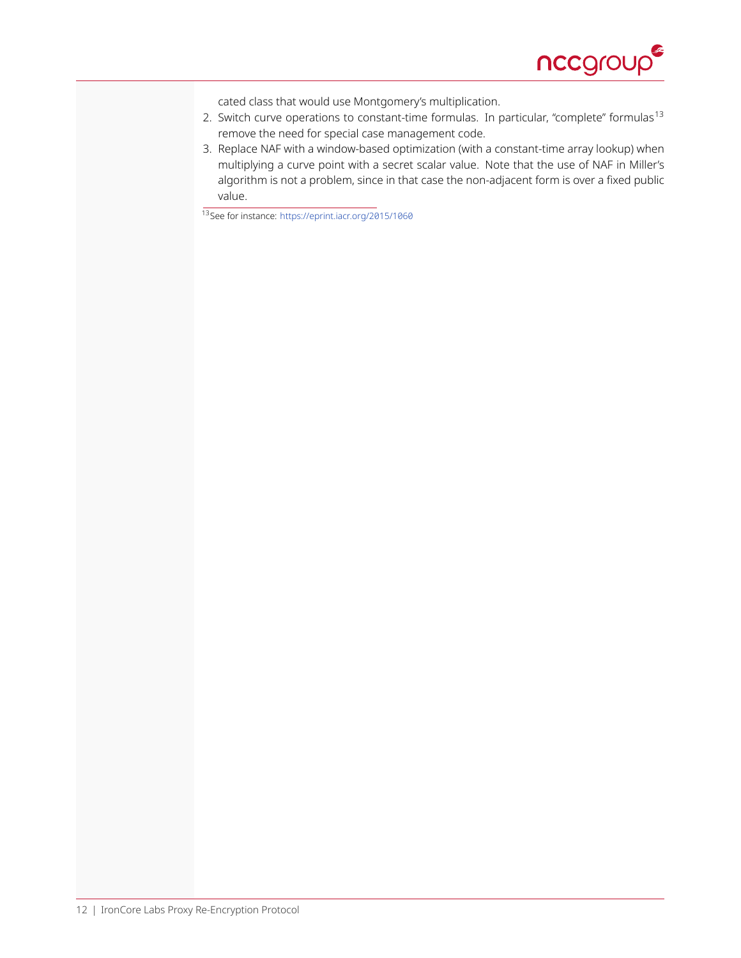

cated class that would use Montgomery's multiplication.

- 2. Switch curve operations to constant-time formulas. In particular, "complete" formulas<sup>[13](#page-11-0)</sup> remove the need for special case management code.
- 3. Replace NAF with a window-based optimization (with a constant-time array lookup) when multiplying a curve point with a secret scalar value. Note that the use of NAF in Miller's algorithm is not a problem, since in that case the non-adjacent form is over a fixed public value.

<span id="page-11-0"></span><sup>13</sup>See for instance: <https://eprint.iacr.org/2015/1060>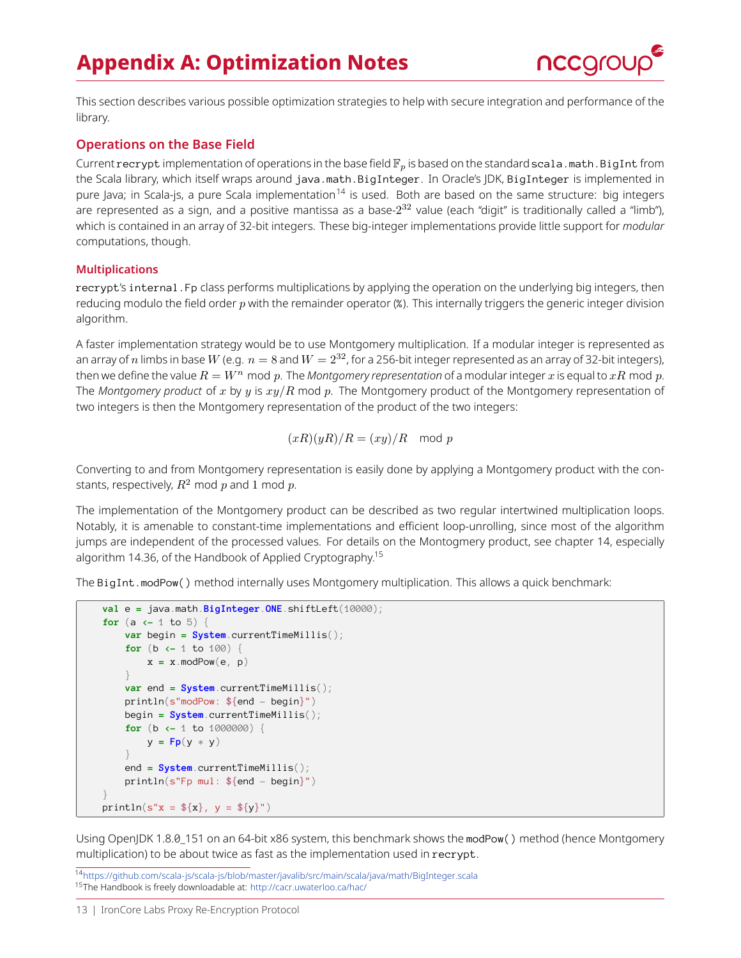# **Appendix A: Optimization Notes**



<span id="page-12-0"></span>This section describes various possible optimization strategies to help with secure integration and performance of the library.

### **Operations on the Base Field**

Current recrypt implementation of operations in the base field  $\mathbb{F}_p$  is based on the standard scala.math.BigInt from the Scala library, which itself wraps around java.math.BigInteger. In Oracle's JDK, BigInteger is implemented in pure Java; in Scala-js, a pure Scala implementation<sup>[14](#page-12-1)</sup> is used. Both are based on the same structure: big integers are represented as a sign, and a positive mantissa as a base- $2^{32}$  value (each "digit" is traditionally called a "limb"), which is contained in an array of 32-bit integers. These big-integer implementations provide little support for *modular* computations, though.

### **Multiplications**

recrypt's internal.Fp class performs multiplications by applying the operation on the underlying big integers, then reducing modulo the field order  $p$  with the remainder operator (%). This internally triggers the generic integer division algorithm.

A faster implementation strategy would be to use Montgomery multiplication. If a modular integer is represented as an array of n limbs in base W (e.g.  $n = 8$  and  $W = 2^{32}$ , for a 256-bit integer represented as an array of 32-bit integers), then we define the value  $R = W^n$  mod p. The *Montgomery representation* of a modular integer x is equal to  $xR$  mod p. The *Montgomery product* of x by y is  $xy/R$  mod p. The Montgomery product of the Montgomery representation of two integers is then the Montgomery representation of the product of the two integers:

$$
(xR)(yR)/R = (xy)/R \mod p
$$

Converting to and from Montgomery representation is easily done by applying a Montgomery product with the constants, respectively,  $R^2$  mod p and 1 mod p.

The implementation of the Montgomery product can be described as two regular intertwined multiplication loops. Notably, it is amenable to constant-time implementations and efficient loop-unrolling, since most of the algorithm jumps are independent of the processed values. For details on the Montogmery product, see chapter 14, especially algorithm 14.36, of the Handbook of Applied Cryptography.[15](#page-12-2)

The BigInt.modPow() method internally uses Montgomery multiplication. This allows a quick benchmark:

```
val e = java.math.BigInteger.ONE.shiftLeft(10000);
for (a <- 1 to 5) {
   var begin = System.currentTimeMillis();
   for (b <- 1 to 100) {
       x = x.modPow(e, p)
    }
    var end = System.currentTimeMillis();
    println(s"modPow: ${end - begin}")
    begin = System.currentTimeMillis();
    for (b <- 1 to 1000000) {
        y = Fp(y * y)}
    end = System.currentTimeMillis();
    println(s"Fp mul: ${end - begin}")
}
println(s"x = ${x}, y = ${y}")
```
Using OpenJDK 1.8.0\_151 on an 64-bit x86 system, this benchmark shows the modPow() method (hence Montgomery multiplication) to be about twice as fast as the implementation used in recrypt.

<span id="page-12-2"></span><span id="page-12-1"></span><sup>14</sup><https://github.com/scala-js/scala-js/blob/master/javalib/src/main/scala/java/math/BigInteger.scala> <sup>15</sup>The Handbook is freely downloadable at: <http://cacr.uwaterloo.ca/hac/>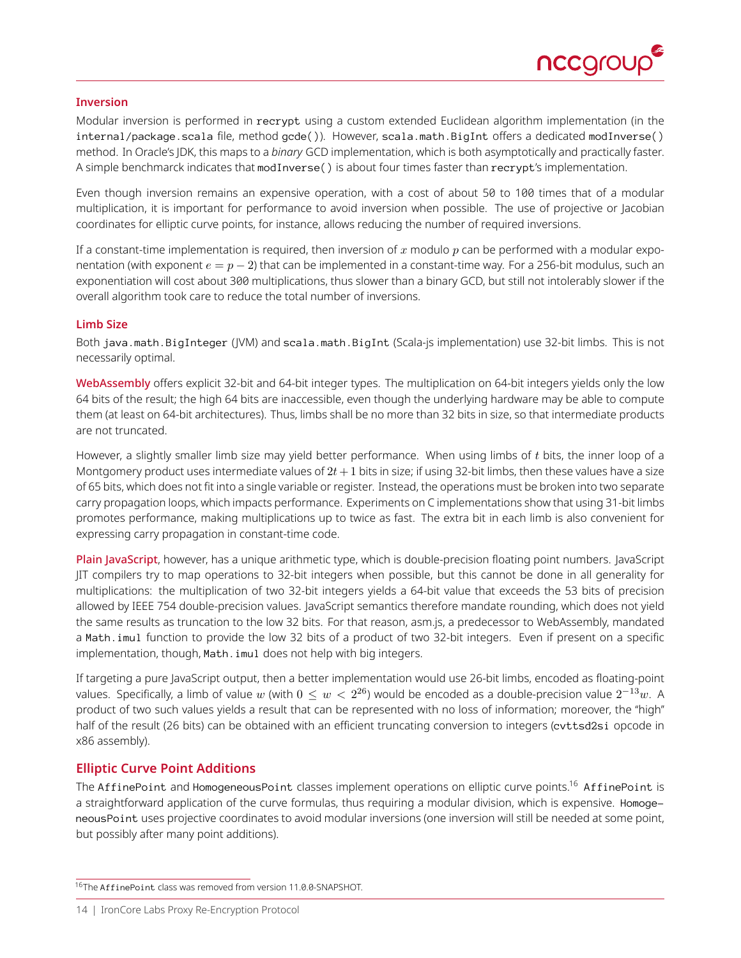

#### **Inversion**

Modular inversion is performed in recrypt using a custom extended Euclidean algorithm implementation (in the internal/package.scala file, method gcde()). However, scala.math.BigInt offers a dedicated modInverse() method. In Oracle's JDK, this maps to a *binary* GCD implementation, which is both asymptotically and practically faster. A simple benchmarck indicates that modInverse() is about four times faster than recrypt's implementation.

Even though inversion remains an expensive operation, with a cost of about 50 to 100 times that of a modular multiplication, it is important for performance to avoid inversion when possible. The use of projective or Jacobian coordinates for elliptic curve points, for instance, allows reducing the number of required inversions.

If a constant-time implementation is required, then inversion of x modulo  $p$  can be performed with a modular exponentation (with exponent  $e = p - 2$ ) that can be implemented in a constant-time way. For a 256-bit modulus, such an exponentiation will cost about 300 multiplications, thus slower than a binary GCD, but still not intolerably slower if the overall algorithm took care to reduce the total number of inversions.

#### **Limb Size**

Both java.math.BigInteger (JVM) and scala.math.BigInt (Scala-js implementation) use 32-bit limbs. This is not necessarily optimal.

WebAssembly offers explicit 32-bit and 64-bit integer types. The multiplication on 64-bit integers yields only the low 64 bits of the result; the high 64 bits are inaccessible, even though the underlying hardware may be able to compute them (at least on 64-bit architectures). Thus, limbs shall be no more than 32 bits in size, so that intermediate products are not truncated.

However, a slightly smaller limb size may yield better performance. When using limbs of  $t$  bits, the inner loop of a Montgomery product uses intermediate values of  $2t+1$  bits in size; if using 32-bit limbs, then these values have a size of 65 bits, which does not fit into a single variable or register. Instead, the operations must be broken into two separate carry propagation loops, which impacts performance. Experiments on C implementations show that using 31-bit limbs promotes performance, making multiplications up to twice as fast. The extra bit in each limb is also convenient for expressing carry propagation in constant-time code.

Plain JavaScript, however, has a unique arithmetic type, which is double-precision floating point numbers. JavaScript JIT compilers try to map operations to 32-bit integers when possible, but this cannot be done in all generality for multiplications: the multiplication of two 32-bit integers yields a 64-bit value that exceeds the 53 bits of precision allowed by IEEE 754 double-precision values. JavaScript semantics therefore mandate rounding, which does not yield the same results as truncation to the low 32 bits. For that reason, asm.js, a predecessor to WebAssembly, mandated a Math.imul function to provide the low 32 bits of a product of two 32-bit integers. Even if present on a specific implementation, though, Math. imul does not help with big integers.

If targeting a pure JavaScript output, then a better implementation would use 26-bit limbs, encoded as floating-point values. Specifically, a limb of value  $w$  (with  $0\leq w < 2^{26}$ ) would be encoded as a double-precision value  $2^{-13}w$ . A product of two such values yields a result that can be represented with no loss of information; moreover, the "high" half of the result (26 bits) can be obtained with an efficient truncating conversion to integers (cvttsd2si opcode in x86 assembly).

### **Elliptic Curve Point Additions**

The AffinePoint and HomogeneousPoint classes implement operations on elliptic curve points.<sup>[16](#page-13-0)</sup> AffinePoint is a straightforward application of the curve formulas, thus requiring a modular division, which is expensive. HomogeneousPoint uses projective coordinates to avoid modular inversions (one inversion will still be needed at some point, but possibly after many point additions).

<span id="page-13-0"></span><sup>16</sup>The AffinePoint class was removed from version 11.0.0-SNAPSHOT.

<sup>14 |</sup> IronCore Labs Proxy Re-Encryption Protocol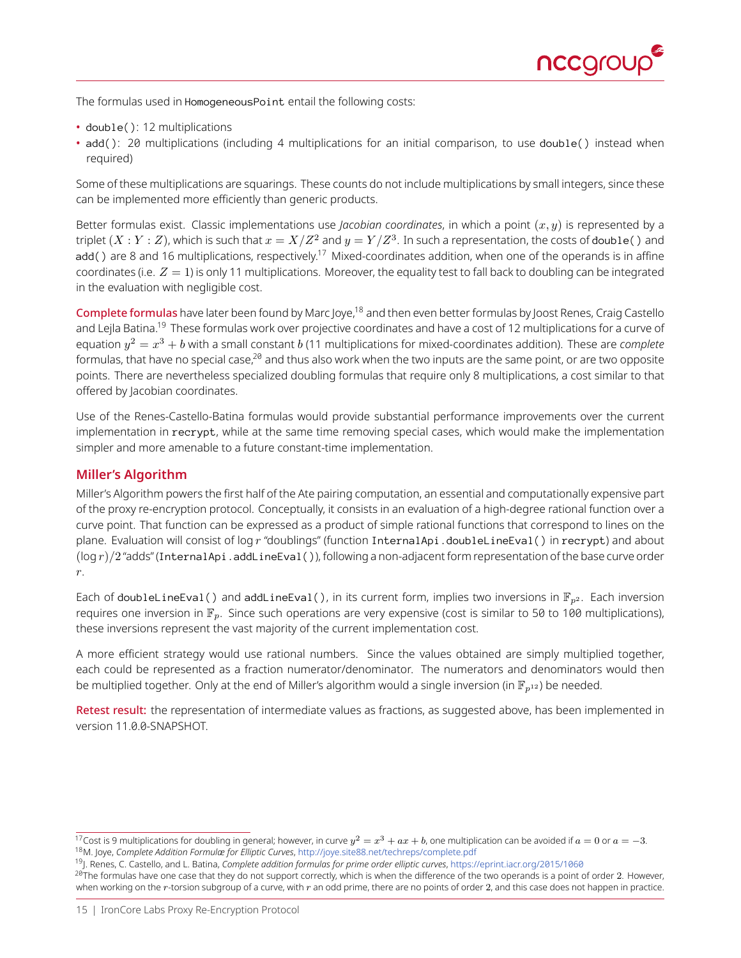

The formulas used in HomogeneousPoint entail the following costs:

- double(): 12 multiplications
- add(): 20 multiplications (including 4 multiplications for an initial comparison, to use double() instead when required)

Some of these multiplications are squarings. These counts do not include multiplications by small integers, since these can be implemented more efficiently than generic products.

Better formulas exist. Classic implementations use *Jacobian coordinates*, in which a point  $(x, y)$  is represented by a triplet  $(X:Y:Z)$ , which is such that  $x=X/Z^2$  and  $y=Y/Z^3$ . In such a representation, the costs of doub1e( ) and add() are 8 and 16 multiplications, respectively.<sup>[17](#page-14-0)</sup> Mixed-coordinates addition, when one of the operands is in affine coordinates (i.e.  $Z = 1$ ) is only 11 multiplications. Moreover, the equality test to fall back to doubling can be integrated in the evaluation with negligible cost.

Complete formulas have later been found by Marc Joye,<sup>[18](#page-14-1)</sup> and then even better formulas by Joost Renes, Craig Castello and Lejla Batina.<sup>[19](#page-14-2)</sup> These formulas work over projective coordinates and have a cost of 12 multiplications for a curve of equation  $y^2=x^3+b$  with a small constant  $b$  (11 multiplications for mixed-coordinates addition). These are *complete* formulas, that have no special case, $^{20}$  $^{20}$  $^{20}$  and thus also work when the two inputs are the same point, or are two opposite points. There are nevertheless specialized doubling formulas that require only 8 multiplications, a cost similar to that offered by Jacobian coordinates.

Use of the Renes-Castello-Batina formulas would provide substantial performance improvements over the current implementation in recrypt, while at the same time removing special cases, which would make the implementation simpler and more amenable to a future constant-time implementation.

### **Miller's Algorithm**

Miller's Algorithm powers the first half of the Ate pairing computation, an essential and computationally expensive part of the proxy re-encryption protocol. Conceptually, it consists in an evaluation of a high-degree rational function over a curve point. That function can be expressed as a product of simple rational functions that correspond to lines on the plane. Evaluation will consist of log  $r$  "doublings" (function InternalApi.doubleLineEval() in recrypt) and about  $(\log r)/2$  "adds" (InternalApi.addLineEval()), following a non-adjacent form representation of the base curve order r.

Each of doubleLineEval() and addLineEval(), in its current form, implies two inversions in  $\mathbb{F}_{p^2}$ . Each inversion requires one inversion in  $\mathbb{F}_p$ . Since such operations are very expensive (cost is similar to 50 to 100 multiplications), these inversions represent the vast majority of the current implementation cost.

A more efficient strategy would use rational numbers. Since the values obtained are simply multiplied together, each could be represented as a fraction numerator/denominator. The numerators and denominators would then be multiplied together. Only at the end of Miller's algorithm would a single inversion (in  $\mathbb{F}_{p^{12}}$ ) be needed.

Retest result: the representation of intermediate values as fractions, as suggested above, has been implemented in version 11.0.0-SNAPSHOT.

<span id="page-14-1"></span><span id="page-14-0"></span> $^{17}$ Cost is 9 multiplications for doubling in general; however, in curve  $y^2=x^3+ax+b$ , one multiplication can be avoided if  $a=0$  or  $a=-3.$ <sup>18</sup>M. Joye, *Complete Addition Formulæ for Elliptic Curves*, <http://joye.site88.net/techreps/complete.pdf>

<span id="page-14-2"></span><sup>19</sup>J. Renes, C. Castello, and L. Batina, *Complete addition formulas for prime order elliptic curves*, <https://eprint.iacr.org/2015/1060>

<span id="page-14-3"></span> $^{20}$ The formulas have one case that they do not support correctly, which is when the difference of the two operands is a point of order  $2$ . However, when working on the  $r$ -torsion subgroup of a curve, with  $r$  an odd prime, there are no points of order 2, and this case does not happen in practice.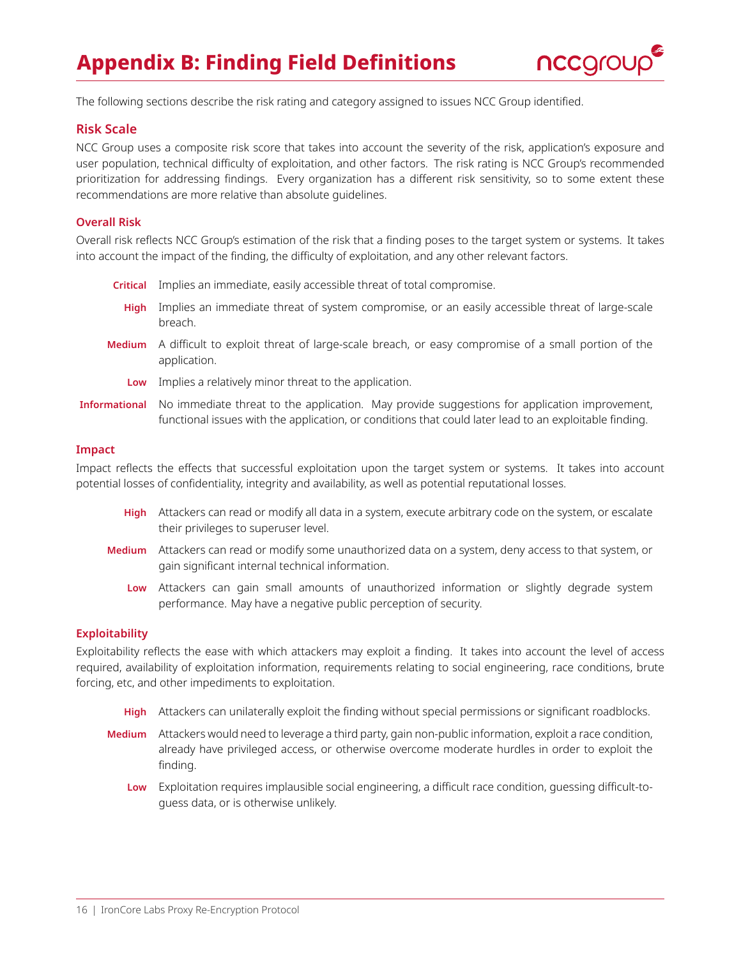# **Appendix B: Finding Field Definitions**



<span id="page-15-0"></span>The following sections describe the risk rating and category assigned to issues NCC Group identified.

### **Risk Scale**

NCC Group uses a composite risk score that takes into account the severity of the risk, application's exposure and user population, technical difficulty of exploitation, and other factors. The risk rating is NCC Group's recommended prioritization for addressing findings. Every organization has a different risk sensitivity, so to some extent these recommendations are more relative than absolute guidelines.

### **Overall Risk**

Overall risk reflects NCC Group's estimation of the risk that a finding poses to the target system or systems. It takes into account the impact of the finding, the difficulty of exploitation, and any other relevant factors.

- **Critical** Implies an immediate, easily accessible threat of total compromise.
- **High** Implies an immediate threat of system compromise, or an easily accessible threat of large-scale breach.
- **Medium** A difficult to exploit threat of large-scale breach, or easy compromise of a small portion of the application.
	- **Low** Implies a relatively minor threat to the application.
- **Informational** No immediate threat to the application. May provide suggestions for application improvement, functional issues with the application, or conditions that could later lead to an exploitable finding.

#### **Impact**

Impact reflects the effects that successful exploitation upon the target system or systems. It takes into account potential losses of confidentiality, integrity and availability, as well as potential reputational losses.

- **High** Attackers can read or modify all data in a system, execute arbitrary code on the system, or escalate their privileges to superuser level.
- **Medium** Attackers can read or modify some unauthorized data on a system, deny access to that system, or gain significant internal technical information.
	- **Low** Attackers can gain small amounts of unauthorized information or slightly degrade system performance. May have a negative public perception of security.

#### **Exploitability**

Exploitability reflects the ease with which attackers may exploit a finding. It takes into account the level of access required, availability of exploitation information, requirements relating to social engineering, race conditions, brute forcing, etc, and other impediments to exploitation.

- **High** Attackers can unilaterally exploit the finding without special permissions or significant roadblocks.
- **Medium** Attackers would need to leverage a third party, gain non-public information, exploit a race condition, already have privileged access, or otherwise overcome moderate hurdles in order to exploit the finding.
	- **Low** Exploitation requires implausible social engineering, a difficult race condition, guessing difficult-toguess data, or is otherwise unlikely.